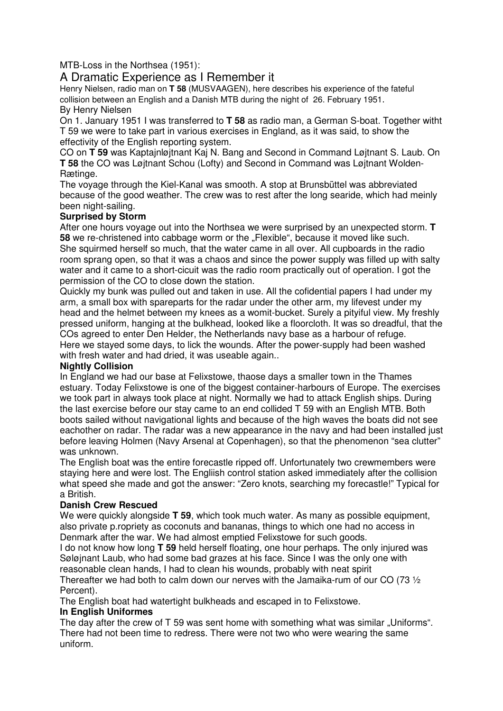MTB-Loss in the Northsea (1951):

# A Dramatic Experience as I Remember it

Henry Nielsen, radio man on **T 58** (MUSVAAGEN), here describes his experience of the fateful collision between an English and a Danish MTB during the night of 26. February 1951. By Henry Nielsen

On 1. January 1951 I was transferred to **T 58** as radio man, a German S-boat. Together witht T 59 we were to take part in various exercises in England, as it was said, to show the effectivity of the English reporting system.

CO on **T 59** was Kaptajnløjtnant Kaj N. Bang and Second in Command Løjtnant S. Laub. On **T 58** the CO was Løjtnant Schou (Lofty) and Second in Command was Løjtnant Wolden-Rætinge.

The voyage through the Kiel-Kanal was smooth. A stop at Brunsbüttel was abbreviated because of the good weather. The crew was to rest after the long searide, which had meinly been night-sailing.

### **Surprised by Storm**

After one hours voyage out into the Northsea we were surprised by an unexpected storm. **T 58** we re-christened into cabbage worm or the "Flexible", because it moved like such. She squirmed herself so much, that the water came in all over. All cupboards in the radio room sprang open, so that it was a chaos and since the power supply was filled up with salty water and it came to a short-cicuit was the radio room practically out of operation. I got the permission of the CO to close down the station.

Quickly my bunk was pulled out and taken in use. All the cofidential papers I had under my arm, a small box with spareparts for the radar under the other arm, my lifevest under my head and the helmet between my knees as a womit-bucket. Surely a pityiful view. My freshly pressed uniform, hanging at the bulkhead, looked like a floorcloth. It was so dreadful, that the COs agreed to enter Den Helder, the Netherlands navy base as a harbour of refuge. Here we stayed some days, to lick the wounds. After the power-supply had been washed with fresh water and had dried, it was useable again..

### **Nightly Collision**

In England we had our base at Felixstowe, thaose days a smaller town in the Thames estuary. Today Felixstowe is one of the biggest container-harbours of Europe. The exercises we took part in always took place at night. Normally we had to attack English ships. During the last exercise before our stay came to an end collided T 59 with an English MTB. Both boots sailed without navigational lights and because of the high waves the boats did not see eachother on radar. The radar was a new appearance in the navy and had been installed just before leaving Holmen (Navy Arsenal at Copenhagen), so that the phenomenon "sea clutter" was unknown.

The English boat was the entire forecastle ripped off. Unfortunately two crewmembers were staying here and were lost. The Engliish control station asked immediately after the collision what speed she made and got the answer: "Zero knots, searching my forecastle!" Typical for a British.

### **Danish Crew Rescued**

We were quickly alongside **T 59**, which took much water. As many as possible equipment, also private p.ropriety as coconuts and bananas, things to which one had no access in Denmark after the war. We had almost emptied Felixstowe for such goods.

I do not know how long **T 59** held herself floating, one hour perhaps. The only injured was Søløjnant Laub, who had some bad grazes at his face. Since I was the only one with reasonable clean hands, I had to clean his wounds, probably with neat spirit

Thereafter we had both to calm down our nerves with the Jamaika-rum of our CO (73 ½ Percent).

The English boat had watertight bulkheads and escaped in to Felixstowe.

## **In English Uniformes**

The day after the crew of T 59 was sent home with something what was similar . Uniforms ". There had not been time to redress. There were not two who were wearing the same uniform.